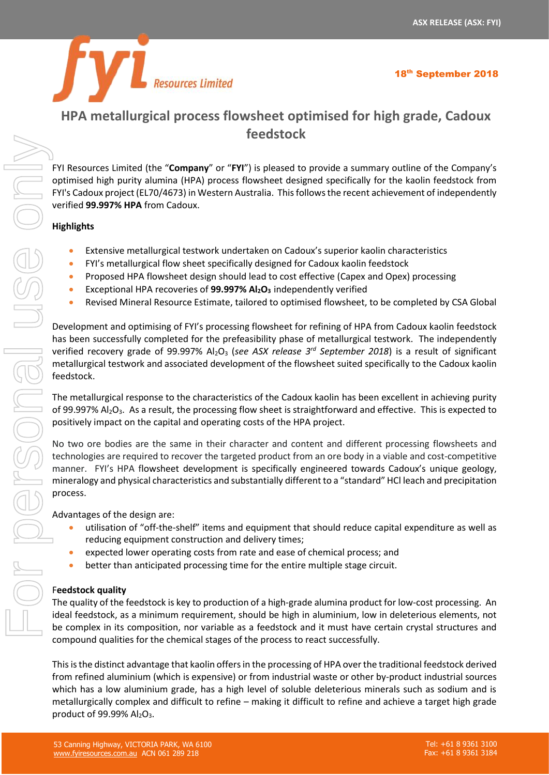

# **HPA metallurgical process flowsheet optimised for high grade, Cadoux feedstock**

FYI Resources Limited (the "**Company**" or "**FYI**") is pleased to provide a summary outline of the Company's optimised high purity alumina (HPA) process flowsheet designed specifically for the kaolin feedstock from FYI's Cadoux project (EL70/4673) in Western Australia. This follows the recent achievement of independently verified **99.997% HPA** from Cadoux.

# **Highlights**

- Extensive metallurgical testwork undertaken on Cadoux's superior kaolin characteristics
- FYI's metallurgical flow sheet specifically designed for Cadoux kaolin feedstock
- Proposed HPA flowsheet design should lead to cost effective (Capex and Opex) processing
- Exceptional HPA recoveries of **99.997% Al2O<sup>3</sup>** independently verified
- Revised Mineral Resource Estimate, tailored to optimised flowsheet, to be completed by CSA Global

Development and optimising of FYI's processing flowsheet for refining of HPA from Cadoux kaolin feedstock has been successfully completed for the prefeasibility phase of metallurgical testwork. The independently verified recovery grade of 99.997% Al2O<sup>3</sup> (*see ASX release 3rd September 2018*) is a result of significant metallurgical testwork and associated development of the flowsheet suited specifically to the Cadoux kaolin feedstock.

The metallurgical response to the characteristics of the Cadoux kaolin has been excellent in achieving purity of 99.997% Al<sub>2</sub>O<sub>3</sub>. As a result, the processing flow sheet is straightforward and effective. This is expected to positively impact on the capital and operating costs of the HPA project.

No two ore bodies are the same in their character and content and different processing flowsheets and technologies are required to recover the targeted product from an ore body in a viable and cost-competitive manner. FYI's HPA flowsheet development is specifically engineered towards Cadoux's unique geology, mineralogy and physical characteristics and substantially different to a "standard" HCl leach and precipitation process.

Advantages of the design are:

- utilisation of "off-the-shelf" items and equipment that should reduce capital expenditure as well as reducing equipment construction and delivery times;
- expected lower operating costs from rate and ease of chemical process; and
- better than anticipated processing time for the entire multiple stage circuit.

# F**eedstock quality**

The quality of the feedstock is key to production of a high-grade alumina product for low-cost processing. An ideal feedstock, as a minimum requirement, should be high in aluminium, low in deleterious elements, not be complex in its composition, nor variable as a feedstock and it must have certain crystal structures and compound qualities for the chemical stages of the process to react successfully.

This is the distinct advantage that kaolin offersin the processing of HPA over the traditional feedstock derived from refined aluminium (which is expensive) or from industrial waste or other by-product industrial sources which has a low aluminium grade, has a high level of soluble deleterious minerals such as sodium and is metallurgically complex and difficult to refine – making it difficult to refine and achieve a target high grade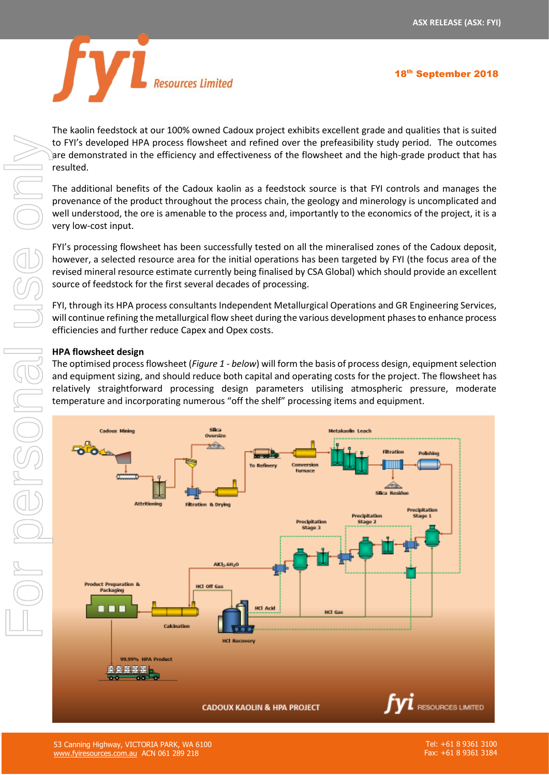

The kaolin feedstock at our 100% owned Cadoux project exhibits excellent grade and qualities that is suited to FYI's developed HPA process flowsheet and refined over the prefeasibility study period. The outcomes are demonstrated in the efficiency and effectiveness of the flowsheet and the high-grade product that has resulted.

The additional benefits of the Cadoux kaolin as a feedstock source is that FYI controls and manages the provenance of the product throughout the process chain, the geology and minerology is uncomplicated and well understood, the ore is amenable to the process and, importantly to the economics of the project, it is a very low-cost input.

FYI's processing flowsheet has been successfully tested on all the mineralised zones of the Cadoux deposit, however, a selected resource area for the initial operations has been targeted by FYI (the focus area of the revised mineral resource estimate currently being finalised by CSA Global) which should provide an excellent source of feedstock for the first several decades of processing.

FYI, through its HPA process consultants Independent Metallurgical Operations and GR Engineering Services, will continue refining the metallurgical flow sheet during the various development phases to enhance process efficiencies and further reduce Capex and Opex costs.

## **HPA flowsheet design**

The optimised process flowsheet (*Figure 1 - below*) will form the basis of process design, equipment selection and equipment sizing, and should reduce both capital and operating costs for the project. The flowsheet has relatively straightforward processing design parameters utilising atmospheric pressure, moderate